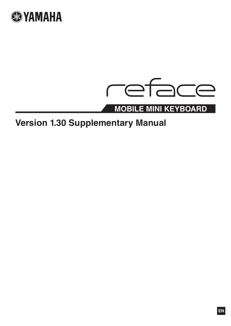



# **Version 1.30 Supplementary Manual**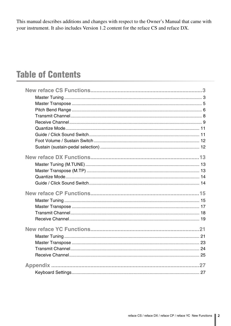This manual describes additions and changes with respect to the Owner's Manual that came with your instrument. It also includes Version 1.2 content for the reface CS and reface DX.

# **Table of Contents**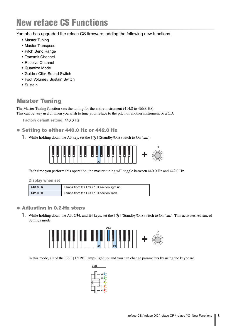<span id="page-2-0"></span>Yamaha has upgraded the reface CS firmware, adding the following new functions.

- • [Master Tuning](#page-2-1)
- • [Master Transpose](#page-4-0)
- • [Pitch Bend Range](#page-5-0)
- • [Transmit Channel](#page-7-0)
- • [Receive Channel](#page-8-0)
- • [Quantize Mode](#page-10-0)
- • [Guide / Click Sound Switch](#page-10-1)
- • [Foot Volume / Sustain Switch](#page-11-0)
- • [Sustain](#page-11-1)

## <span id="page-2-1"></span>Master Tuning

The Master Tuning function sets the tuning for the entire instrument (414.8 to 466.8 Hz).

This can be very useful when you wish to tune your reface to the pitch of another instrument or a CD.

**Factory default setting:** 440.0 Hz

#### Setting to either 440.0 Hz or 442.0 Hz

**1.** While holding down the A3 key, set the  $[\bigcup]$  (Standby/On) switch to On ( $\blacksquare$ ).



Each time you perform this operation, the master tuning will toggle between 440.0 Hz and 442.0 Hz.

**Display when set**

| 440.0 Hz | Lamps from the LOOPER section light up. |
|----------|-----------------------------------------|
| 442.0 Hz | Lamps from the LOOPER section flash.    |

#### Adjusting in 0.2-Hz steps

**1.** While holding down the A3, C#4, and E4 keys, set the  $[\bigcup]$  (Standby/On) switch to On ( $\blacksquare$ ). This activates Advanced Settings mode.



In this mode, all of the OSC [TYPE] lamps light up, and you can change parameters by using the keyboard.

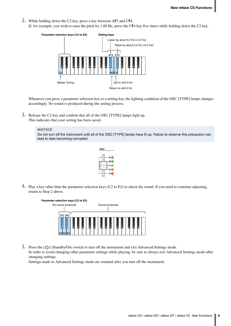- **2.** While holding down the C2 key, press a key between A#3 and C#4.
	- If, for example, you wish to raise the pitch by 1.00 Hz, press the C#4 key five times while holding down the C2 key.



Whenever you press a parameter selection key or a setting key, the lighting condition of the OSC [TYPE] lamps changes accordingly. No sound is produced during the setting process.

**3.** Release the C2 key and confirm that all of the OSC [TYPE] lamps light up. This indicates that your setting has been saved.

#### **NOTICE**

Do not turn off the instrument until all of the OSC [TYPE] lamps have lit up. Failure to observe this precaution can lead to data becoming corrupted.



**4.** Play a key other than the parameter selection keys (C2 to E2) to check the sound. If you need to continue adjusting, return to Step 2 above.



**5.** Press the  $[\bigcup]$  (Standby/On) switch to turn off the instrument and exit Advanced Settings mode. In order to avoid changing other parameter settings while playing, be sure to always exit Advanced Settings mode after changing settings.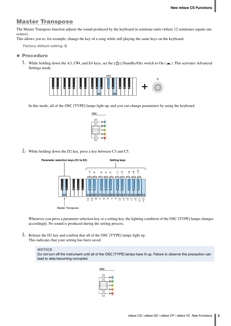## <span id="page-4-0"></span>Master Transpose

The Master Transpose function adjusts the sound produced by the keyboard in semitone units (where 12 semitones equals one octave).

This allows you to, for example, change the key of a song while still playing the same keys on the keyboard.

**Factory default setting:** 0

#### **• Procedure**

**1.** While holding down the A3, C#4, and E4 keys, set the [ $\bigcup$ ] (Standby/On) switch to On ( $\blacksquare$ ). This activates Advanced Settings mode.



In this mode, all of the OSC [TYPE] lamps light up, and you can change parameters by using the keyboard.



**2.** While holding down the D2 key, press a key between C3 and C5.



Whenever you press a parameter selection key or a setting key, the lighting condition of the OSC [TYPE] lamps changes accordingly. No sound is produced during the setting process.

**3.** Release the D2 key and confirm that all of the OSC [TYPE] lamps light up. This indicates that your setting has been saved.

#### **NOTICE**

Do not turn off the instrument until all of the OSC [TYPE] lamps have lit up. Failure to observe this precaution can lead to data becoming corrupted.

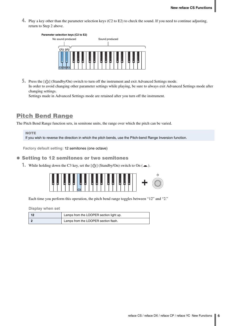**4.** Play a key other than the parameter selection keys (C2 to E2) to check the sound. If you need to continue adjusting, return to Step 2 above.



**5.** Press the [ ] (Standby/On) switch to turn off the instrument and exit Advanced Settings mode. In order to avoid changing other parameter settings while playing, be sure to always exit Advanced Settings mode after changing settings.

Settings made in Advanced Settings mode are retained after you turn off the instrument.

## <span id="page-5-0"></span>Pitch Bend Range

The Pitch Bend Range function sets, in semitone units, the range over which the pitch can be varied.

**NOTE** If you wish to reverse the direction in which the pitch bends, use the Pitch-bend Range Inversion function.

**Factory default setting:** 12 semitones (one octave)

#### $\bullet$  **Setting to 12 semitones or two semitones**

**1.** While holding down the C3 key, set the  $[\bigcirc]$  (Standby/On) switch to On ( $\blacksquare$ ).

| <b>Country Country</b> | -<br><b>September</b><br>- | L<br>. .<br>تسببنا | ш<br>Ē<br>- | ш<br>and the contract of<br><b>Contract Contract</b> | . .<br>. .<br>⊶<br>نسا<br>≕ | ↻<br>∼<br>- |
|------------------------|----------------------------|--------------------|-------------|------------------------------------------------------|-----------------------------|-------------|
|------------------------|----------------------------|--------------------|-------------|------------------------------------------------------|-----------------------------|-------------|

Each time you perform this operation, the pitch bend range toggles between "12" and "2."

**Display when set**

| - 12 | Lamps from the LOOPER section light up. |
|------|-----------------------------------------|
|      | Lamps from the LOOPER section flash.    |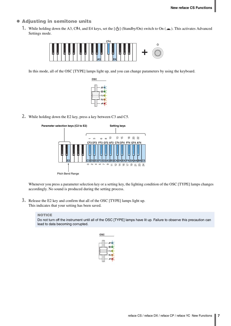#### **• Adjusting in semitone units**

**1.** While holding down the A3, C#4, and E4 keys, set the [ $\bigcup$ ] (Standby/On) switch to On ( $\blacksquare$ ). This activates Advanced Settings mode.



In this mode, all of the OSC [TYPE] lamps light up, and you can change parameters by using the keyboard.



**2.** While holding down the E2 key, press a key between C3 and C5.



Whenever you press a parameter selection key or a setting key, the lighting condition of the OSC [TYPE] lamps changes accordingly. No sound is produced during the setting process.

**3.** Release the E2 key and confirm that all of the OSC [TYPE] lamps light up. This indicates that your setting has been saved.

#### **NOTICE**

Do not turn off the instrument until all of the OSC [TYPE] lamps have lit up. Failure to observe this precaution can lead to data becoming corrupted.

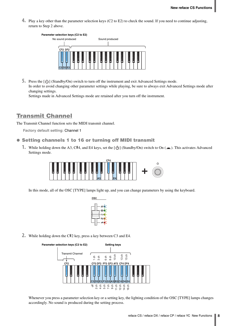**4.** Play a key other than the parameter selection keys (C2 to E2) to check the sound. If you need to continue adjusting, return to Step 2 above.



5. Press the [ $\bigcup$ ] (Standby/On) switch to turn off the instrument and exit Advanced Settings mode. In order to avoid changing other parameter settings while playing, be sure to always exit Advanced Settings mode after changing settings.

Settings made in Advanced Settings mode are retained after you turn off the instrument.

## <span id="page-7-0"></span>Transmit Channel

The Transmit Channel function sets the MIDI transmit channel.

**Factory default setting:** Channel 1

#### **• Setting channels 1 to 16 or turning off MIDI transmit**

**1.** While holding down the A3, C#4, and E4 keys, set the  $\left[\bigcup\right]$  (Standby/On) switch to On ( $\blacksquare$ ). This activates Advanced Settings mode.



In this mode, all of the OSC [TYPE] lamps light up, and you can change parameters by using the keyboard.



**2.** While holding down the C#2 key, press a key between C3 and E4.



Whenever you press a parameter selection key or a setting key, the lighting condition of the OSC [TYPE] lamps changes accordingly. No sound is produced during the setting process.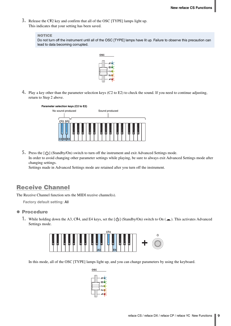**3.** Release the C#2 key and confirm that all of the OSC [TYPE] lamps light up. This indicates that your setting has been saved.

```
NOTICE
```
Do not turn off the instrument until all of the OSC [TYPE] lamps have lit up. Failure to observe this precaution can lead to data becoming corrupted.



**4.** Play a key other than the parameter selection keys (C2 to E2) to check the sound. If you need to continue adjusting, return to Step 2 above.



**5.** Press the  $[\langle \cdot \rangle]$  (Standby/On) switch to turn off the instrument and exit Advanced Settings mode. In order to avoid changing other parameter settings while playing, be sure to always exit Advanced Settings mode after changing settings.

Settings made in Advanced Settings mode are retained after you turn off the instrument.

## <span id="page-8-0"></span>Receive Channel

The Receive Channel function sets the MIDI receive channel(s).

**Factory default setting:** All

#### **• Procedure**

**1.** While holding down the A3, C#4, and E4 keys, set the  $[\bigcup]$  (Standby/On) switch to On ( $\blacksquare$ ). This activates Advanced Settings mode.



In this mode, all of the OSC [TYPE] lamps light up, and you can change parameters by using the keyboard.

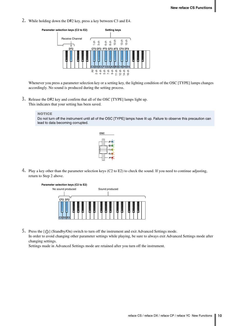**2.** While holding down the D#2 key, press a key between C3 and E4.



Whenever you press a parameter selection key or a setting key, the lighting condition of the OSC [TYPE] lamps changes accordingly. No sound is produced during the setting process.

**3.** Release the D#2 key and confirm that all of the OSC [TYPE] lamps light up. This indicates that your setting has been saved.

#### **NOTICE**

Do not turn off the instrument until all of the OSC [TYPE] lamps have lit up. Failure to observe this precaution can lead to data becoming corrupted.



**4.** Play a key other than the parameter selection keys (C2 to E2) to check the sound. If you need to continue adjusting, return to Step 2 above.



**5.** Press the  $[\langle \cdot \rangle]$  (Standby/On) switch to turn off the instrument and exit Advanced Settings mode. In order to avoid changing other parameter settings while playing, be sure to always exit Advanced Settings mode after changing settings.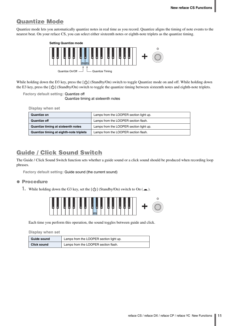## <span id="page-10-0"></span>Quantize Mode

Quantize mode lets you automatically quantize notes in real time as you record. Quantize aligns the timing of note events to the nearest beat. On your reface CS, you can select either sixteenth notes or eighth-note triplets as the quantize timing.



While holding down the D3 key, press the  $[\bigcirc]$  (Standby/On) switch to toggle Quantize mode on and off. While holding down the E3 key, press the  $\lceil \bigcup \rceil$  (Standby/On) switch to toggle the quantize timing between sixteenth notes and eighth-note triplets.

**Factory default setting:** Quantize off

Quantize timing at sixteenth notes

**Display when set**

| <b>Quantize on</b>                      | Lamps from the LOOPER section light up. |
|-----------------------------------------|-----------------------------------------|
| Quantize off                            | Lamps from the LOOPER section flash.    |
| Quantize timing at sixteenth notes      | Lamps from the LOOPER section light up. |
| Quantize timing at eighth-note triplets | Lamps from the LOOPER section flash.    |

## <span id="page-10-1"></span>Guide / Click Sound Switch

The Guide / Click Sound Switch function sets whether a guide sound or a click sound should be produced when recording loop phrases.

**Factory default setting:** Guide sound (the current sound)

#### **• Procedure**

**1.** While holding down the G3 key, set the  $[\bigcirc]$  (Standby/On) switch to On ( $\blacksquare$ ).



Each time you perform this operation, the sound toggles between guide and click.

**Display when set**

| Guide sound | Lamps from the LOOPER section light up. |
|-------------|-----------------------------------------|
| Click sound | Lamps from the LOOPER section flash.    |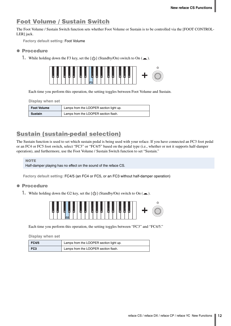## <span id="page-11-0"></span>Foot Volume / Sustain Switch

The Foot Volume / Sustain Switch function sets whether Foot Volume or Sustain is to be controlled via the [FOOT CONTROL-LER] jack.

**Factory default setting:** Foot Volume

#### **• Procedure**

**1.** While holding down the F3 key, set the  $[\bigcup]$  (Standby/On) switch to On ( $\blacksquare$ ).



Each time you perform this operation, the setting toggles between Foot Volume and Sustain.

**Display when set**

| <b>Foot Volume</b> | Lamps from the LOOPER section light up. |
|--------------------|-----------------------------------------|
| Sustain            | Lamps from the LOOPER section flash.    |

## <span id="page-11-1"></span>Sustain (sustain-pedal selection)

The Sustain function is used to set which sustain pedal is being used with your reface. If you have connected an FC3 foot pedal or an FC4 or FC5 foot switch, select "FC3" or "FC4/5" based on the pedal type (i.e., whether or not it supports half-damper operation), and furthermore, use the Foot Volume / Sustain Switch function to set "Sustain."

**NOTE** 

Half-damper playing has no effect on the sound of the reface CS.

**Factory default setting:** FC4/5 (an FC4 or FC5, or an FC3 without half-damper operation)

#### **• Procedure**

**1.** While holding down the G2 key, set the  $[\bigcirc]$  (Standby/On) switch to On  $(\square)$ .



Each time you perform this operation, the setting toggles between "FC3" and "FC4/5."

**Display when set**

| <b>FC4/5</b>    | Lamps from the LOOPER section light up. |
|-----------------|-----------------------------------------|
| FC <sub>3</sub> | Lamps from the LOOPER section flash.    |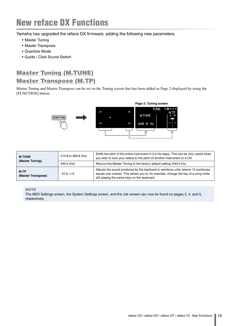# <span id="page-12-0"></span>New reface DX Functions

Yamaha has upgraded the reface DX firmware, adding the following new parameters.

- • [Master Tuning](#page-12-1)
- • [Master Transpose](#page-12-2)
- • [Quantize Mode](#page-13-0)
- • [Guide / Click Sound Switch](#page-13-1)

## <span id="page-12-1"></span>Master Tuning (M.TUNE)

## <span id="page-12-2"></span>Master Transpose (M.TP)

Master Tuning and Master Transpose can be set on the Tuning screen that has been added as Page 2 displayed by using the [FUNCTION] button.



| <b>M.TUNE</b><br>(Master Tuning) | 414.8 to 466.8 (Hz) | Shifts the pitch of the entire instrument in 0.2-Hz steps. This can be very useful when<br>you wish to tune your reface to the pitch of another instrument or a CD.                                                     |
|----------------------------------|---------------------|-------------------------------------------------------------------------------------------------------------------------------------------------------------------------------------------------------------------------|
|                                  | 440.0 (Hz)          | Returns the Master Tuning to the factory default setting (440.0 Hz).                                                                                                                                                    |
| M.TP<br>(Master Transpose)       | $-12$ to $+12$      | Adjusts the sound produced by the keyboard in semitone units (where 12 semitones<br>equals one octave). This allows you to, for example, change the key of a song while<br>still playing the same keys on the keyboard. |

#### **NOTE**

The MIDI Settings screen, the System Settings screen, and the Job screen can now be found on pages 3, 4, and 5, respectively.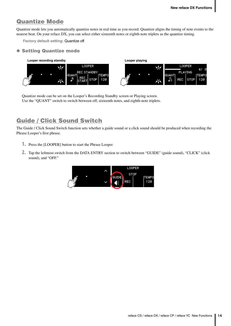## <span id="page-13-0"></span>Quantize Mode

Quantize mode lets you automatically quantize notes in real time as you record. Quantize aligns the timing of note events to the nearest beat. On your reface DX, you can select either sixteenth notes or eighth-note triplets as the quantize timing.

**Factory default setting:** Quantize off

#### Setting Quantize mode



Quantize mode can be set on the Looper's Recording Standby screen or Playing screen. Use the "QUANT" switch to switch between off, sixteenth notes, and eighth-note triplets.

## <span id="page-13-1"></span>Guide / Click Sound Switch

The Guide / Click Sound Switch function sets whether a guide sound or a click sound should be produced when recording the Phrase Looper's first phrase.

- **1.** Press the [LOOPER] button to start the Phrase Looper.
- **2.** Tap the leftmost switch from the DATA ENTRY section to switch between "GUIDE" (guide sound), "CLICK" (click sound), and "OFF."

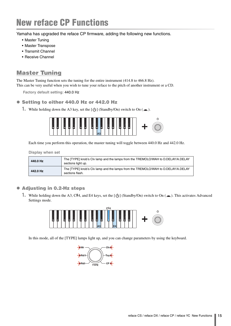# <span id="page-14-0"></span>New reface CP Functions

Yamaha has upgraded the reface CP firmware, adding the following new functions.

- • [Master Tuning](#page-14-1)
- • [Master Transpose](#page-16-0)
- • [Transmit Channel](#page-17-0)
- • [Receive Channel](#page-18-0)

## <span id="page-14-1"></span>Master Tuning

The Master Tuning function sets the tuning for the entire instrument (414.8 to 466.8 Hz). This can be very useful when you wish to tune your reface to the pitch of another instrument or a CD.

**Factory default setting:** 440.0 Hz

#### ● Setting to either 440.0 Hz or 442.0 Hz

**1.** While holding down the A3 key, set the  $[\binom{b}{1}]$  (Standby/On) switch to On ( $\blacksquare$ ).



Each time you perform this operation, the master tuning will toggle between 440.0 Hz and 442.0 Hz.

#### **Display when set**

| 440.0 Hz | The [TYPE] knob's Clv lamp and the lamps from the TREMOLO/WAH to D.DELAY/A.DELAY<br>sections light up. |
|----------|--------------------------------------------------------------------------------------------------------|
| 442.0 Hz | The [TYPE] knob's Clv lamp and the lamps from the TREMOLO/WAH to D.DELAY/A.DELAY<br>sections flash.    |

#### Adjusting in 0.2-Hz steps

**1.** While holding down the A3, C#4, and E4 keys, set the  $[\bigcup]$  (Standby/On) switch to On ( $\blacksquare$ ). This activates Advanced Settings mode.



In this mode, all of the [TYPE] lamps light up, and you can change parameters by using the keyboard.

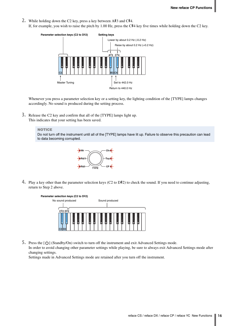- **2.** While holding down the C2 key, press a key between A#3 and C#4.
	- If, for example, you wish to raise the pitch by 1.00 Hz, press the  $C#4$  key five times while holding down the C2 key.



Whenever you press a parameter selection key or a setting key, the lighting condition of the [TYPE] lamps changes accordingly. No sound is produced during the setting process.

**3.** Release the C2 key and confirm that all of the [TYPE] lamps light up. This indicates that your setting has been saved.

#### **NOTICE**

Do not turn off the instrument until all of the [TYPE] lamps have lit up. Failure to observe this precaution can lead to data becoming corrupted.



**4.** Play a key other than the parameter selection keys (C2 to D#2) to check the sound. If you need to continue adjusting, return to Step 2 above.



**5.** Press the  $[\bigcirc]$  (Standby/On) switch to turn off the instrument and exit Advanced Settings mode. In order to avoid changing other parameter settings while playing, be sure to always exit Advanced Settings mode after changing settings.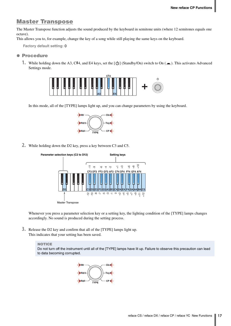### <span id="page-16-0"></span>Master Transpose

The Master Transpose function adjusts the sound produced by the keyboard in semitone units (where 12 semitones equals one octave).

This allows you to, for example, change the key of a song while still playing the same keys on the keyboard.

**Factory default setting:** 0

#### **• Procedure**

**1.** While holding down the A3, C#4, and E4 keys, set the [ $\bigcup$ ] (Standby/On) switch to On ( $\blacksquare$ ). This activates Advanced Settings mode.



In this mode, all of the [TYPE] lamps light up, and you can change parameters by using the keyboard.



**2.** While holding down the D2 key, press a key between C3 and C5.



Whenever you press a parameter selection key or a setting key, the lighting condition of the [TYPE] lamps changes accordingly. No sound is produced during the setting process.

**3.** Release the D2 key and confirm that all of the [TYPE] lamps light up. This indicates that your setting has been saved.

#### **NOTICE**

Do not turn off the instrument until all of the [TYPE] lamps have lit up. Failure to observe this precaution can lead to data becoming corrupted.

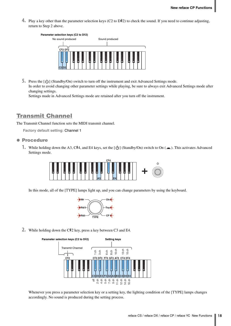**4.** Play a key other than the parameter selection keys (C2 to D#2) to check the sound. If you need to continue adjusting, return to Step 2 above.



**5.** Press the [ $\bigcup$ ] (Standby/On) switch to turn off the instrument and exit Advanced Settings mode. In order to avoid changing other parameter settings while playing, be sure to always exit Advanced Settings mode after changing settings.

Settings made in Advanced Settings mode are retained after you turn off the instrument.

## <span id="page-17-0"></span>Transmit Channel

The Transmit Channel function sets the MIDI transmit channel.

**Factory default setting:** Channel 1

#### **• Procedure**

**1.** While holding down the A3, C#4, and E4 keys, set the  $\left[\bigcup\right]$  (Standby/On) switch to On ( $\blacksquare$ ). This activates Advanced Settings mode.



In this mode, all of the [TYPE] lamps light up, and you can change parameters by using the keyboard.



**2.** While holding down the C#2 key, press a key between C3 and E4.



Whenever you press a parameter selection key or a setting key, the lighting condition of the [TYPE] lamps changes accordingly. No sound is produced during the setting process.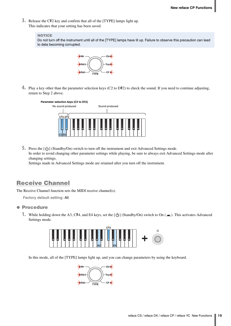**3.** Release the C#2 key and confirm that all of the [TYPE] lamps light up. This indicates that your setting has been saved.

#### **NOTICE**

Do not turn off the instrument until all of the [TYPE] lamps have lit up. Failure to observe this precaution can lead to data becoming corrupted.



**4.** Play a key other than the parameter selection keys (C2 to D#2) to check the sound. If you need to continue adjusting, return to Step 2 above.



**5.** Press the  $[\bigcirc]$  (Standby/On) switch to turn off the instrument and exit Advanced Settings mode. In order to avoid changing other parameter settings while playing, be sure to always exit Advanced Settings mode after changing settings.

Settings made in Advanced Settings mode are retained after you turn off the instrument.

## <span id="page-18-0"></span>Receive Channel

The Receive Channel function sets the MIDI receive channel(s).

**Factory default setting:** All

#### **• Procedure**

**1.** While holding down the A3, C#4, and E4 keys, set the  $[\langle \cdot \rangle]$  (Standby/On) switch to On ( $\blacksquare$ ). This activates Advanced Settings mode.



In this mode, all of the [TYPE] lamps light up, and you can change parameters by using the keyboard.

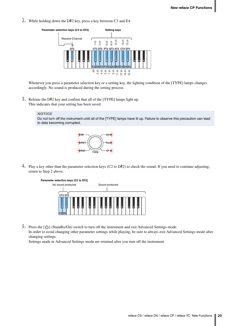**2.** While holding down the D#2 key, press a key between C3 and E4.



Whenever you press a parameter selection key or a setting key, the lighting condition of the [TYPE] lamps changes accordingly. No sound is produced during the setting process.

**3.** Release the D#2 key and confirm that all of the [TYPE] lamps light up. This indicates that your setting has been saved.

#### **NOTICE**

Do not turn off the instrument until all of the [TYPE] lamps have lit up. Failure to observe this precaution can lead to data becoming corrupted.



**4.** Play a key other than the parameter selection keys (C2 to D#2) to check the sound. If you need to continue adjusting, return to Step 2 above.



**5.** Press the  $[\Diamond]$  (Standby/On) switch to turn off the instrument and exit Advanced Settings mode.

In order to avoid changing other parameter settings while playing, be sure to always exit Advanced Settings mode after changing settings.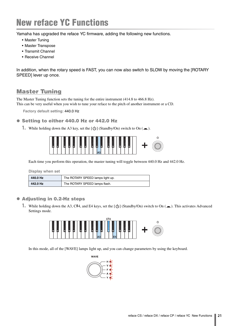# <span id="page-20-0"></span>New reface YC Functions

Yamaha has upgraded the reface YC firmware, adding the following new functions.

- • [Master Tuning](#page-20-1)
- • [Master Transpose](#page-22-0)
- • [Transmit Channel](#page-23-0)
- • [Receive Channel](#page-24-0)

In addition, when the rotary speed is FAST, you can now also switch to SLOW by moving the [ROTARY SPEED] lever up once.

## <span id="page-20-1"></span>Master Tuning

The Master Tuning function sets the tuning for the entire instrument (414.8 to 466.8 Hz). This can be very useful when you wish to tune your reface to the pitch of another instrument or a CD.

**Factory default setting:** 440.0 Hz

#### Setting to either 440.0 Hz or 442.0 Hz

**1.** While holding down the A3 key, set the  $[\bigcup]$  (Standby/On) switch to On ( $\blacksquare$ ).



Each time you perform this operation, the master tuning will toggle between 440.0 Hz and 442.0 Hz.

**Display when set**

| 440.0 Hz | The ROTARY SPEED lamps light up. |
|----------|----------------------------------|
| 442.0 Hz | The ROTARY SPEED lamps flash.    |

#### **• Adjusting in 0.2-Hz steps**

1. While holding down the A3, C#4, and E4 keys, set the [**b**] (Standby/On) switch to On (■). This activates Advanced Settings mode.



In this mode, all of the [WAVE] lamps light up, and you can change parameters by using the keyboard.

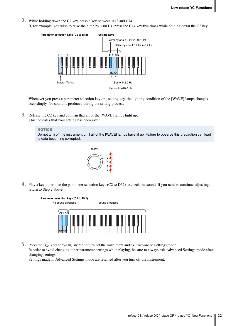- **2.** While holding down the C2 key, press a key between A#3 and C#4.
	- If, for example, you wish to raise the pitch by 1.00 Hz, press the  $C#4$  key five times while holding down the C2 key.



Whenever you press a parameter selection key or a setting key, the lighting condition of the [WAVE] lamps changes accordingly. No sound is produced during the setting process.

**3.** Release the C2 key and confirm that all of the [WAVE] lamps light up. This indicates that your setting has been saved.

#### **NOTICE**

Do not turn off the instrument until all of the [WAVE] lamps have lit up. Failure to observe this precaution can lead to data becoming corrupted.



**4.** Play a key other than the parameter selection keys (C2 to D#2) to check the sound. If you need to continue adjusting, return to Step 2 above.



**5.** Press the  $[\bigcirc]$  (Standby/On) switch to turn off the instrument and exit Advanced Settings mode. In order to avoid changing other parameter settings while playing, be sure to always exit Advanced Settings mode after changing settings.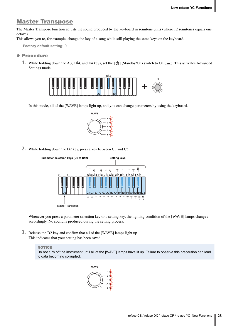## <span id="page-22-0"></span>Master Transpose

The Master Transpose function adjusts the sound produced by the keyboard in semitone units (where 12 semitones equals one octave).

This allows you to, for example, change the key of a song while still playing the same keys on the keyboard.

**Factory default setting:** 0

#### **• Procedure**

**1.** While holding down the A3, C#4, and E4 keys, set the [ $\bigcup$ ] (Standby/On) switch to On ( $\blacksquare$ ). This activates Advanced Settings mode.



In this mode, all of the [WAVE] lamps light up, and you can change parameters by using the keyboard.



**2.** While holding down the D2 key, press a key between C3 and C5.



Whenever you press a parameter selection key or a setting key, the lighting condition of the [WAVE] lamps changes accordingly. No sound is produced during the setting process.

**3.** Release the D2 key and confirm that all of the [WAVE] lamps light up. This indicates that your setting has been saved.

#### **NOTICE**

Do not turn off the instrument until all of the [WAVE] lamps have lit up. Failure to observe this precaution can lead to data becoming corrupted.

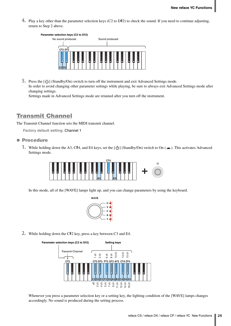**4.** Play a key other than the parameter selection keys (C2 to D#2) to check the sound. If you need to continue adjusting, return to Step 2 above.



**5.** Press the [ $\bigcup$ ] (Standby/On) switch to turn off the instrument and exit Advanced Settings mode. In order to avoid changing other parameter settings while playing, be sure to always exit Advanced Settings mode after changing settings.

Settings made in Advanced Settings mode are retained after you turn off the instrument.

## <span id="page-23-0"></span>Transmit Channel

The Transmit Channel function sets the MIDI transmit channel.

**Factory default setting:** Channel 1

#### **• Procedure**

**1.** While holding down the A3, C#4, and E4 keys, set the  $\left[\bigcup\right]$  (Standby/On) switch to On ( $\blacksquare$ ). This activates Advanced Settings mode.



In this mode, all of the [WAVE] lamps light up, and you can change parameters by using the keyboard.



**2.** While holding down the C#2 key, press a key between C3 and E4.



Whenever you press a parameter selection key or a setting key, the lighting condition of the [WAVE] lamps changes accordingly. No sound is produced during the setting process.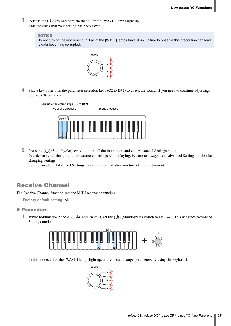**3.** Release the C#2 key and confirm that all of the [WAVE] lamps light up. This indicates that your setting has been saved.

#### **NOTICE**

Do not turn off the instrument until all of the [WAVE] lamps have lit up. Failure to observe this precaution can lead to data becoming corrupted.



**4.** Play a key other than the parameter selection keys (C2 to D#2) to check the sound. If you need to continue adjusting, return to Step 2 above.



**5.** Press the  $[\langle \cdot \rangle]$  (Standby/On) switch to turn off the instrument and exit Advanced Settings mode. In order to avoid changing other parameter settings while playing, be sure to always exit Advanced Settings mode after changing settings.

Settings made in Advanced Settings mode are retained after you turn off the instrument.

## <span id="page-24-0"></span>Receive Channel

The Receive Channel function sets the MIDI receive channel(s).

**Factory default setting:** All

#### **• Procedure**

**1.** While holding down the A3, C#4, and E4 keys, set the  $\left[\bigcup\right]$  (Standby/On) switch to On ( $\blacksquare$ ). This activates Advanced Settings mode.



In this mode, all of the [WAVE] lamps light up, and you can change parameters by using the keyboard.

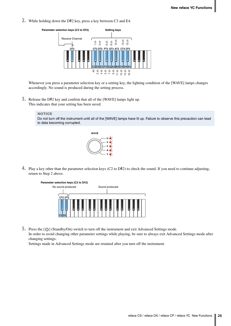**2.** While holding down the D#2 key, press a key between C3 and E4.



Whenever you press a parameter selection key or a setting key, the lighting condition of the [WAVE] lamps changes accordingly. No sound is produced during the setting process.

**3.** Release the D#2 key and confirm that all of the [WAVE] lamps light up. This indicates that your setting has been saved.

#### **NOTICE**

Do not turn off the instrument until all of the [WAVE] lamps have lit up. Failure to observe this precaution can lead to data becoming corrupted.



**4.** Play a key other than the parameter selection keys (C2 to D#2) to check the sound. If you need to continue adjusting, return to Step 2 above.



**5.** Press the  $[\bigcirc]$  (Standby/On) switch to turn off the instrument and exit Advanced Settings mode. In order to avoid changing other parameter settings while playing, be sure to always exit Advanced Settings mode after changing settings.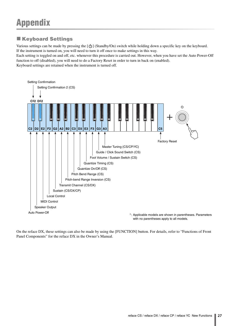## <span id="page-26-1"></span><span id="page-26-0"></span>**Keyboard Settings**

Various settings can be made by pressing the  $[\bigcirc]$  (Standby/On) switch while holding down a specific key on the keyboard. If the instrument is turned on, you will need to turn it off once to make settings in this way.

Each setting is toggled on and off, etc. whenever this procedure is carried out. However, when you have set the Auto Power-Off function to off (disabled), you will need to do a Factory Reset in order to turn in back on (enabled). Keyboard settings are retained when the instrument is turned off.



On the reface DX, these settings can also be made by using the [FUNCTION] button. For details, refer to "Functions of Front Panel Components" for the reface DX in the Owner's Manual.